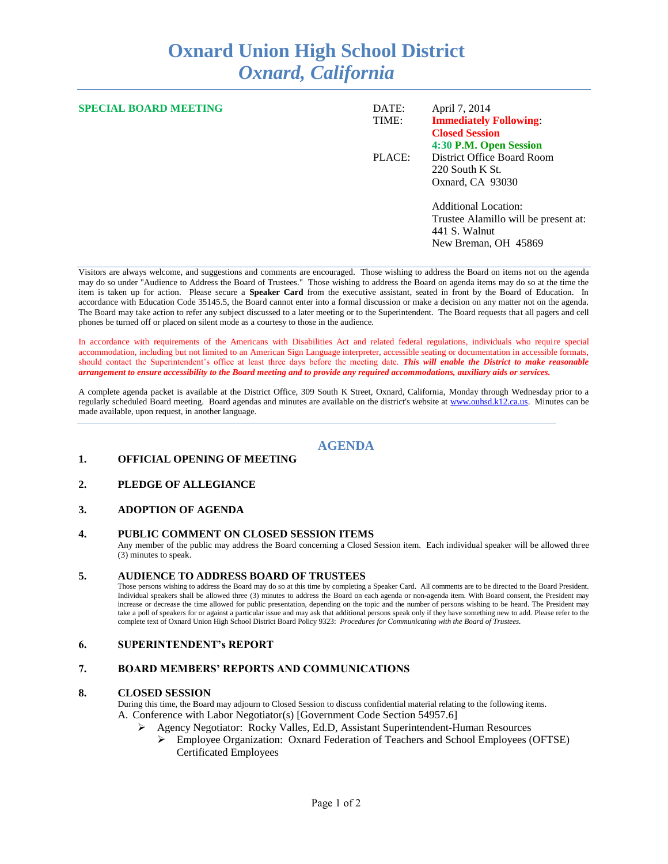# **Oxnard Union High School District** *Oxnard, California*

| <b>SPECIAL BOARD MEETING</b> | DATE:  | April 7, 2014                        |
|------------------------------|--------|--------------------------------------|
|                              | TIME:  | <b>Immediately Following:</b>        |
|                              |        | <b>Closed Session</b>                |
|                              |        | 4:30 P.M. Open Session               |
|                              | PLACE: | District Office Board Room           |
|                              |        | $220$ South K St.                    |
|                              |        | Oxnard, CA 93030                     |
|                              |        | <b>Additional Location:</b>          |
|                              |        | Trustee Alamillo will be present at: |
|                              |        | 441 S. Walnut                        |
|                              |        | New Breman, OH 45869                 |
|                              |        |                                      |

Visitors are always welcome, and suggestions and comments are encouraged. Those wishing to address the Board on items not on the agenda may do so under "Audience to Address the Board of Trustees." Those wishing to address the Board on agenda items may do so at the time the item is taken up for action. Please secure a **Speaker Card** from the executive assistant, seated in front by the Board of Education. In accordance with Education Code 35145.5, the Board cannot enter into a formal discussion or make a decision on any matter not on the agenda. The Board may take action to refer any subject discussed to a later meeting or to the Superintendent. The Board requests that all pagers and cell phones be turned off or placed on silent mode as a courtesy to those in the audience.

In accordance with requirements of the Americans with Disabilities Act and related federal regulations, individuals who require special accommodation, including but not limited to an American Sign Language interpreter, accessible seating or documentation in accessible formats, should contact the Superintendent's office at least three days before the meeting date. *This will enable the District to make reasonable arrangement to ensure accessibility to the Board meeting and to provide any required accommodations, auxiliary aids or services.* 

A complete agenda packet is available at the District Office, 309 South K Street, Oxnard, California, Monday through Wednesday prior to a regularly scheduled Board meeting. Board agendas and minutes are available on the district's website at [www.ouhsd.k12.ca.us.](http://www.ouhsd.k12.ca.us/)Minutes can be made available, upon request, in another language.

## **AGENDA**

### **1. OFFICIAL OPENING OF MEETING**

#### **2. PLEDGE OF ALLEGIANCE**

#### **3. ADOPTION OF AGENDA**

#### **4. PUBLIC COMMENT ON CLOSED SESSION ITEMS**

Any member of the public may address the Board concerning a Closed Session item. Each individual speaker will be allowed three (3) minutes to speak.

#### **5. AUDIENCE TO ADDRESS BOARD OF TRUSTEES**

Those persons wishing to address the Board may do so at this time by completing a Speaker Card. All comments are to be directed to the Board President. Individual speakers shall be allowed three (3) minutes to address the Board on each agenda or non-agenda item. With Board consent, the President may increase or decrease the time allowed for public presentation, depending on the topic and the number of persons wishing to be heard. The President may take a poll of speakers for or against a particular issue and may ask that additional persons speak only if they have something new to add. Please refer to the complete text of Oxnard Union High School District Board Policy 9323: *Procedures for Communicating with the Board of Trustees.*

#### **6. SUPERINTENDENT's REPORT**

#### **7. BOARD MEMBERS' REPORTS AND COMMUNICATIONS**

#### **8. CLOSED SESSION**

During this time, the Board may adjourn to Closed Session to discuss confidential material relating to the following items. A. Conference with Labor Negotiator(s) [Government Code Section 54957.6]

- Agency Negotiator: Rocky Valles, Ed.D, Assistant Superintendent-Human Resources
	- Employee Organization: Oxnard Federation of Teachers and School Employees (OFTSE) Certificated Employees